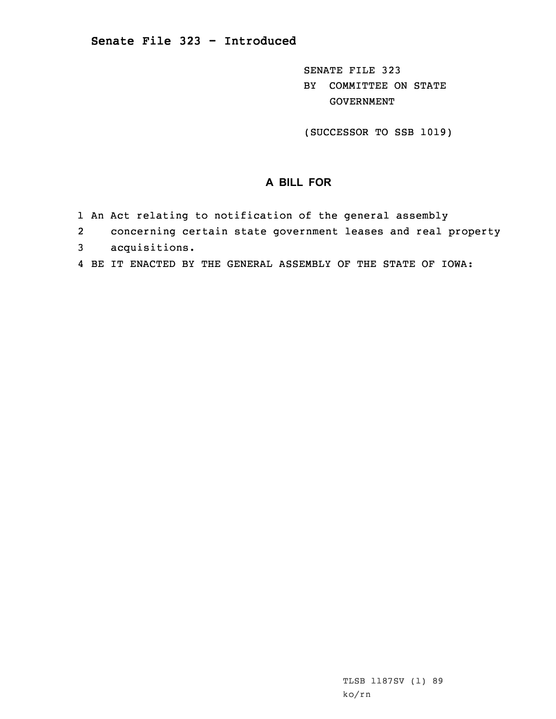SENATE FILE 323 BY COMMITTEE ON STATE GOVERNMENT

(SUCCESSOR TO SSB 1019)

## **A BILL FOR**

- 1 An Act relating to notification of the general assembly
- 2concerning certain state government leases and real property
- 3 acquisitions.
- 4 BE IT ENACTED BY THE GENERAL ASSEMBLY OF THE STATE OF IOWA: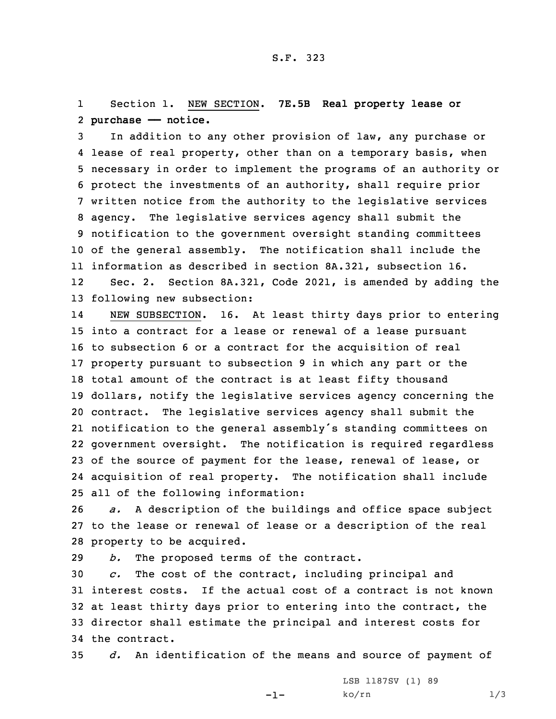## 1 Section 1. NEW SECTION. **7E.5B Real property lease or** 2 **purchase —— notice.**

 In addition to any other provision of law, any purchase or lease of real property, other than on <sup>a</sup> temporary basis, when necessary in order to implement the programs of an authority or protect the investments of an authority, shall require prior written notice from the authority to the legislative services agency. The legislative services agency shall submit the notification to the government oversight standing committees of the general assembly. The notification shall include the information as described in section 8A.321, subsection 16. 12 Sec. 2. Section 8A.321, Code 2021, is amended by adding the following new subsection:

14 NEW SUBSECTION. 16. At least thirty days prior to entering into <sup>a</sup> contract for <sup>a</sup> lease or renewal of <sup>a</sup> lease pursuant to subsection 6 or <sup>a</sup> contract for the acquisition of real property pursuant to subsection 9 in which any part or the total amount of the contract is at least fifty thousand dollars, notify the legislative services agency concerning the contract. The legislative services agency shall submit the notification to the general assembly's standing committees on government oversight. The notification is required regardless of the source of payment for the lease, renewal of lease, or acquisition of real property. The notification shall include all of the following information:

26 *a.* <sup>A</sup> description of the buildings and office space subject 27 to the lease or renewal of lease or <sup>a</sup> description of the real 28 property to be acquired.

29 *b.* The proposed terms of the contract.

 *c.* The cost of the contract, including principal and interest costs. If the actual cost of <sup>a</sup> contract is not known at least thirty days prior to entering into the contract, the director shall estimate the principal and interest costs for the contract.

35 *d.* An identification of the means and source of payment of

-1-

LSB 1187SV (1) 89  $ko/rn$  1/3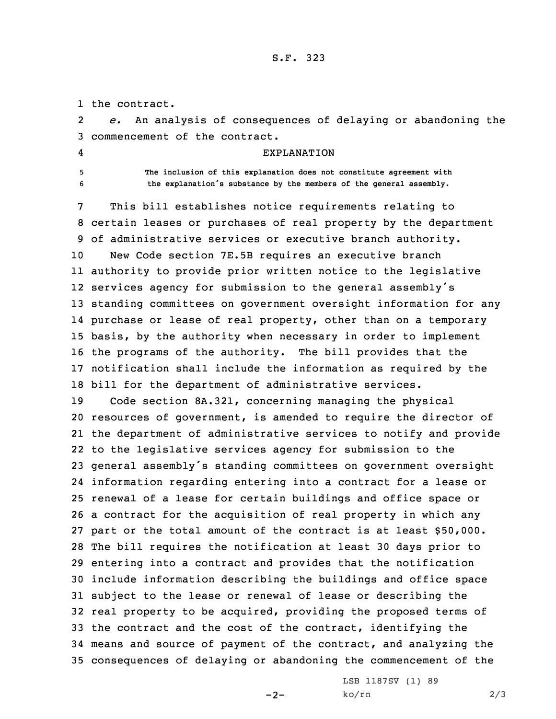S.F. 323

1 the contract.

2 *e.* An analysis of consequences of delaying or abandoning the 3 commencement of the contract.

- 4
- 

EXPLANATION

5 **The inclusion of this explanation does not constitute agreement with** <sup>6</sup> **the explanation's substance by the members of the general assembly.**

 This bill establishes notice requirements relating to certain leases or purchases of real property by the department of administrative services or executive branch authority. New Code section 7E.5B requires an executive branch authority to provide prior written notice to the legislative services agency for submission to the general assembly's standing committees on government oversight information for any purchase or lease of real property, other than on <sup>a</sup> temporary basis, by the authority when necessary in order to implement the programs of the authority. The bill provides that the notification shall include the information as required by the bill for the department of administrative services.

 Code section 8A.321, concerning managing the physical resources of government, is amended to require the director of the department of administrative services to notify and provide to the legislative services agency for submission to the general assembly's standing committees on government oversight information regarding entering into <sup>a</sup> contract for <sup>a</sup> lease or renewal of <sup>a</sup> lease for certain buildings and office space or <sup>a</sup> contract for the acquisition of real property in which any part or the total amount of the contract is at least \$50,000. The bill requires the notification at least 30 days prior to entering into <sup>a</sup> contract and provides that the notification include information describing the buildings and office space subject to the lease or renewal of lease or describing the real property to be acquired, providing the proposed terms of the contract and the cost of the contract, identifying the means and source of payment of the contract, and analyzing the consequences of delaying or abandoning the commencement of the

 $-2-$ 

LSB 1187SV (1) 89 ko/rn 2/3